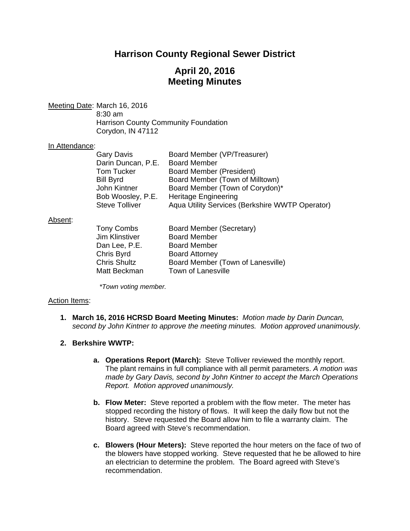# **Harrison County Regional Sewer District**

# **April 20, 2016 Meeting Minutes**

Meeting Date: March 16, 2016 8:30 am

 Harrison County Community Foundation Corydon, IN 47112

## In Attendance:

| Board Member (VP/Treasurer)                     |
|-------------------------------------------------|
| <b>Board Member</b>                             |
| Board Member (President)                        |
| Board Member (Town of Milltown)                 |
| Board Member (Town of Corydon)*                 |
| <b>Heritage Engineering</b>                     |
| Aqua Utility Services (Berkshire WWTP Operator) |
|                                                 |

#### Absent:

| Board Member (Town of Lanesville) |
|-----------------------------------|
|                                   |
|                                   |

*\*Town voting member.* 

#### Action Items:

**1. March 16, 2016 HCRSD Board Meeting Minutes:** *Motion made by Darin Duncan, second by John Kintner to approve the meeting minutes. Motion approved unanimously.*

## **2. Berkshire WWTP:**

- **a. Operations Report (March):** Steve Tolliver reviewed the monthly report. The plant remains in full compliance with all permit parameters. *A motion was made by Gary Davis, second by John Kintner to accept the March Operations Report. Motion approved unanimously.*
- **b. Flow Meter:** Steve reported a problem with the flow meter. The meter has stopped recording the history of flows. It will keep the daily flow but not the history. Steve requested the Board allow him to file a warranty claim. The Board agreed with Steve's recommendation.
- **c. Blowers (Hour Meters):** Steve reported the hour meters on the face of two of the blowers have stopped working. Steve requested that he be allowed to hire an electrician to determine the problem. The Board agreed with Steve's recommendation.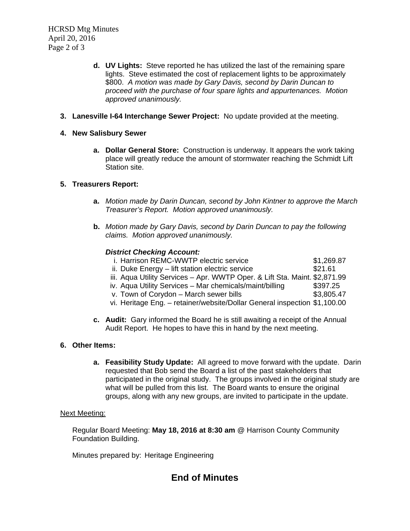- **d. UV Lights:** Steve reported he has utilized the last of the remaining spare lights. Steve estimated the cost of replacement lights to be approximately \$800. *A motion was made by Gary Davis, second by Darin Duncan to proceed with the purchase of four spare lights and appurtenances. Motion approved unanimously.*
- **3. Lanesville I-64 Interchange Sewer Project:** No update provided at the meeting.
- **4. New Salisbury Sewer** 
	- **a. Dollar General Store:** Construction is underway. It appears the work taking place will greatly reduce the amount of stormwater reaching the Schmidt Lift Station site.

## **5. Treasurers Report:**

- **a.** *Motion made by Darin Duncan, second by John Kintner to approve the March Treasurer's Report. Motion approved unanimously.*
- **b.** *Motion made by Gary Davis, second by Darin Duncan to pay the following claims. Motion approved unanimously.*

## *District Checking Account:*

| i. Harrison REMC-WWTP electric service                                     | \$1,269.87 |
|----------------------------------------------------------------------------|------------|
| ii. Duke Energy – lift station electric service                            | \$21.61    |
| iii. Aqua Utility Services - Apr. WWTP Oper. & Lift Sta. Maint. \$2,871.99 |            |
| iv. Aqua Utility Services - Mar chemicals/maint/billing                    | \$397.25   |
| v. Town of Corydon - March sewer bills                                     | \$3,805.47 |
| vi. Heritage Eng. - retainer/website/Dollar General inspection \$1,100.00  |            |
|                                                                            |            |

**c. Audit:** Gary informed the Board he is still awaiting a receipt of the Annual Audit Report. He hopes to have this in hand by the next meeting.

#### **6. Other Items:**

**a. Feasibility Study Update:** All agreed to move forward with the update. Darin requested that Bob send the Board a list of the past stakeholders that participated in the original study. The groups involved in the original study are what will be pulled from this list. The Board wants to ensure the original groups, along with any new groups, are invited to participate in the update.

### Next Meeting:

Regular Board Meeting: **May 18, 2016 at 8:30 am** @ Harrison County Community Foundation Building.

Minutes prepared by: Heritage Engineering

## **End of Minutes**